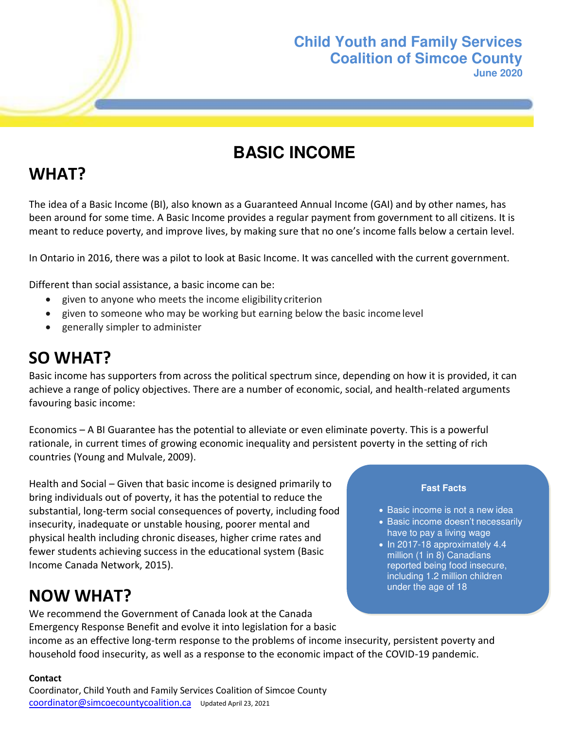### **Child Youth and Family Services Coalition of Simcoe County June 2020**

# **BASIC INCOME**

# **WHAT?**

The idea of a Basic Income (BI), also known as a Guaranteed Annual Income (GAI) and by other names, has been around for some time. A Basic Income provides a regular payment from government to all citizens. It is meant to reduce poverty, and improve lives, by making sure that no one's income falls below a certain level.

In Ontario in 2016, there was a pilot to look at Basic Income. It was cancelled with the current government.

Different than social assistance, a basic income can be:

- given to anyone who meets the income eligibility criterion
- given to someone who may be working but earning below the basic income level
- generally simpler to administer

## **SO WHAT?**

Basic income has supporters from across the political spectrum since, depending on how it is provided, it can achieve a range of policy objectives. There are a number of economic, social, and health-related arguments favouring basic income:

Economics – A BI Guarantee has the potential to alleviate or even eliminate poverty. This is a powerful rationale, in current times of growing economic inequality and persistent poverty in the setting of rich countries (Young and Mulvale, 2009).

Health and Social – Given that basic income is designed primarily to bring individuals out of poverty, it has the potential to reduce the substantial, long-term social consequences of poverty, including food insecurity, inadequate or unstable housing, poorer mental and physical health including chronic diseases, higher crime rates and fewer students achieving success in the educational system (Basic Income Canada Network, 2015).

## **NOW WHAT?**

Emergency Response Benefit and evolve it into legislation for a basic income as an effective long-term response to the problems of income insecurity, persistent poverty and household food insecurity, as well as a response to the economic impact of the COVID-19 pandemic.

#### **Contact**

Coordinator, Child Youth and Family Services Coalition of Simcoe County [coordinator@simcoecountycoalition.ca](mailto:coordinator@simcoecountycoalition.ca) Updated April 23, 2021

We recommend the Government of Canada look at the Canada

#### **Fast Facts**

- Basic income is not a new idea
- Basic income doesn't necessarily have to pay a living wage
- $\bullet$  In 2017-18 approximately 4.4 million (1 in 8) Canadians reported being food insecure, including 1.2 million children under the age of 18